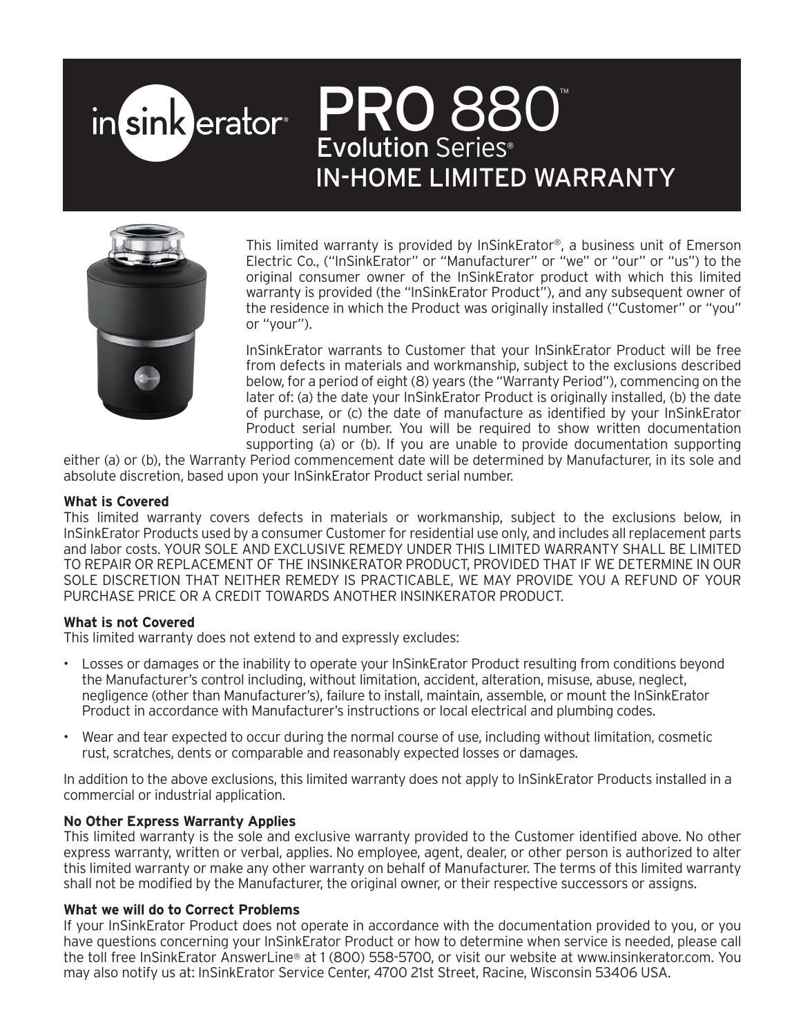# PRO 880 in sink erator<sup>®</sup> Evolution Series ® IN-HOME LIMITED WARRANTY



This limited warranty is provided by InSinkErator®, a business unit of Emerson Electric Co., ("InSinkErator" or "Manufacturer" or "we" or "our" or "us") to the original consumer owner of the InSinkErator product with which this limited warranty is provided (the "InSinkErator Product"), and any subsequent owner of the residence in which the Product was originally installed ("Customer" or "you" or "your").

InSinkErator warrants to Customer that your InSinkErator Product will be free from defects in materials and workmanship, subject to the exclusions described below, for a period of eight (8) years (the "Warranty Period"), commencing on the later of: (a) the date your InSinkErator Product is originally installed, (b) the date of purchase, or (c) the date of manufacture as identified by your InSinkErator Product serial number. You will be required to show written documentation supporting (a) or (b). If you are unable to provide documentation supporting

either (a) or (b), the Warranty Period commencement date will be determined by Manufacturer, in its sole and absolute discretion, based upon your InSinkErator Product serial number.

### **What is Covered**

This limited warranty covers defects in materials or workmanship, subject to the exclusions below, in InSinkErator Products used by a consumer Customer for residential use only, and includes all replacement parts and labor costs. YOUR SOLE AND EXCLUSIVE REMEDY UNDER THIS LIMITED WARRANTY SHALL BE LIMITED TO REPAIR OR REPLACEMENT OF THE INSINKERATOR PRODUCT, PROVIDED THAT IF WE DETERMINE IN OUR SOLE DISCRETION THAT NEITHER REMEDY IS PRACTICABLE, WE MAY PROVIDE YOU A REFUND OF YOUR PURCHASE PRICE OR A CREDIT TOWARDS ANOTHER INSINKERATOR PRODUCT.

## **What is not Covered**

This limited warranty does not extend to and expressly excludes:

- Losses or damages or the inability to operate your InSinkErator Product resulting from conditions beyond the Manufacturer's control including, without limitation, accident, alteration, misuse, abuse, neglect, negligence (other than Manufacturer's), failure to install, maintain, assemble, or mount the InSinkErator Product in accordance with Manufacturer's instructions or local electrical and plumbing codes.
- Wear and tear expected to occur during the normal course of use, including without limitation, cosmetic rust, scratches, dents or comparable and reasonably expected losses or damages.

In addition to the above exclusions, this limited warranty does not apply to InSinkErator Products installed in a commercial or industrial application.

## **No Other Express Warranty Applies**

This limited warranty is the sole and exclusive warranty provided to the Customer identified above. No other express warranty, written or verbal, applies. No employee, agent, dealer, or other person is authorized to alter this limited warranty or make any other warranty on behalf of Manufacturer. The terms of this limited warranty shall not be modified by the Manufacturer, the original owner, or their respective successors or assigns.

### **What we will do to Correct Problems**

If your InSinkErator Product does not operate in accordance with the documentation provided to you, or you have questions concerning your InSinkErator Product or how to determine when service is needed, please call the toll free InSinkErator AnswerLine® at 1 (800) 558-5700, or visit our website at www.insinkerator.com. You may also notify us at: InSinkErator Service Center, 4700 21st Street, Racine, Wisconsin 53406 USA.